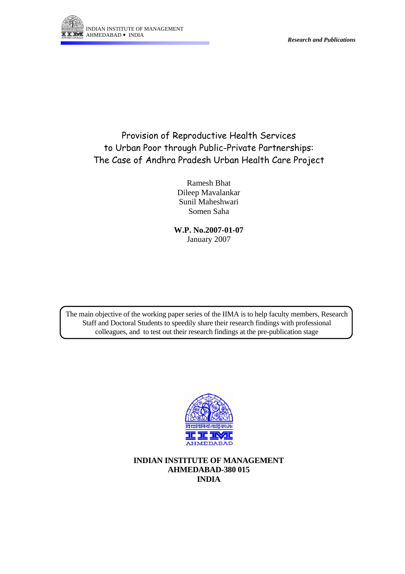



# Provision of Reproductive Health Services to Urban Poor through Public-Private Partnerships: The Case of Andhra Pradesh Urban Health Care Project

Ramesh Bhat Dileep Mavalankar Sunil Maheshwari Somen Saha

**W.P. No.2007-01-07**  January 2007

The main objective of the working paper series of the IIMA is to help faculty members, Research Staff and Doctoral Students to speedily share their research findings with professional colleagues, and to test out their research findings at the pre-publication stage



**INDIAN INSTITUTE OF MANAGEMENT AHMEDABAD-380 015 INDIA**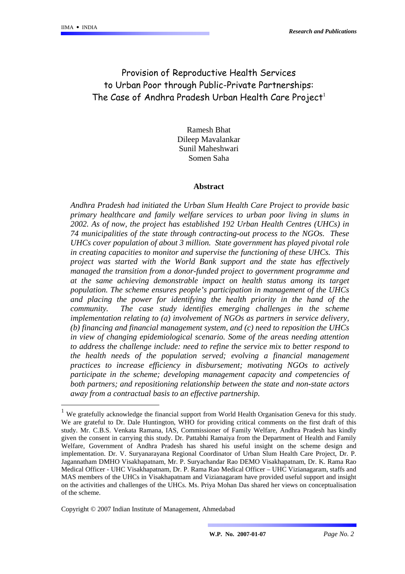$\overline{a}$ 

## Provision of Reproductive Health Services to Urban Poor through Public-Private Partnerships: The Case of Andhra Pradesh Urban Health Care Project<sup>[1](#page-1-0)</sup>

Ramesh Bhat Dileep Mavalankar Sunil Maheshwari Somen Saha

#### **Abstract**

*Andhra Pradesh had initiated the Urban Slum Health Care Project to provide basic primary healthcare and family welfare services to urban poor living in slums in 2002. As of now, the project has established 192 Urban Health Centres (UHCs) in 74 municipalities of the state through contracting-out process to the NGOs. These UHCs cover population of about 3 million. State government has played pivotal role in creating capacities to monitor and supervise the functioning of these UHCs. This project was started with the World Bank support and the state has effectively managed the transition from a donor-funded project to government programme and at the same achieving demonstrable impact on health status among its target population. The scheme ensures people's participation in management of the UHCs and placing the power for identifying the health priority in the hand of the community. The case study identifies emerging challenges in the scheme implementation relating to (a) involvement of NGOs as partners in service delivery, (b) financing and financial management system, and (c) need to reposition the UHCs in view of changing epidemiological scenario. Some of the areas needing attention to address the challenge include: need to refine the service mix to better respond to the health needs of the population served; evolving a financial management practices to increase efficiency in disbursement; motivating NGOs to actively participate in the scheme; developing management capacity and competencies of both partners; and repositioning relationship between the state and non-state actors away from a contractual basis to an effective partnership.* 

Copyright © 2007 Indian Institute of Management, Ahmedabad

<span id="page-1-0"></span><sup>1</sup> We gratefully acknowledge the financial support from World Health Organisation Geneva for this study. We are grateful to Dr. Dale Huntington, WHO for providing critical comments on the first draft of this study. Mr. C.B.S. Venkata Ramana, IAS, Commissioner of Family Welfare, Andhra Pradesh has kindly given the consent in carrying this study. Dr. Pattabhi Ramaiya from the Department of Health and Family Welfare, Government of Andhra Pradesh has shared his useful insight on the scheme design and implementation. Dr. V. Suryanarayana Regional Coordinator of Urban Slum Health Care Project, Dr. P. Jagannatham DMHO Visakhapatnam, Mr. P. Suryachandar Rao DEMO Visakhapatnam, Dr. K. Rama Rao Medical Officer - UHC Visakhapatnam, Dr. P. Rama Rao Medical Officer – UHC Vizianagaram, staffs and MAS members of the UHCs in Visakhapatnam and Vizianagaram have provided useful support and insight on the activities and challenges of the UHCs. Ms. Priya Mohan Das shared her views on conceptualisation of the scheme.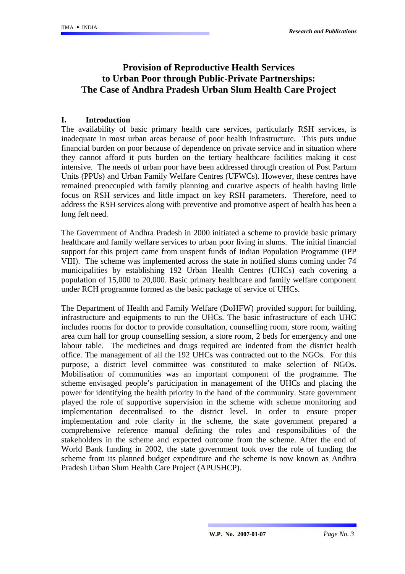## **Provision of Reproductive Health Services to Urban Poor through Public-Private Partnerships: The Case of Andhra Pradesh Urban Slum Health Care Project**

#### **I. Introduction**

The availability of basic primary health care services, particularly RSH services, is inadequate in most urban areas because of poor health infrastructure. This puts undue financial burden on poor because of dependence on private service and in situation where they cannot afford it puts burden on the tertiary healthcare facilities making it cost intensive. The needs of urban poor have been addressed through creation of Post Partum Units (PPUs) and Urban Family Welfare Centres (UFWCs). However, these centres have remained preoccupied with family planning and curative aspects of health having little focus on RSH services and little impact on key RSH parameters. Therefore, need to address the RSH services along with preventive and promotive aspect of health has been a long felt need.

The Government of Andhra Pradesh in 2000 initiated a scheme to provide basic primary healthcare and family welfare services to urban poor living in slums. The initial financial support for this project came from unspent funds of Indian Population Programme (IPP VIII). The scheme was implemented across the state in notified slums coming under 74 municipalities by establishing 192 Urban Health Centres (UHCs) each covering a population of 15,000 to 20,000. Basic primary healthcare and family welfare component under RCH programme formed as the basic package of service of UHCs.

The Department of Health and Family Welfare (DoHFW) provided support for building, infrastructure and equipments to run the UHCs. The basic infrastructure of each UHC includes rooms for doctor to provide consultation, counselling room, store room, waiting area cum hall for group counselling session, a store room, 2 beds for emergency and one labour table. The medicines and drugs required are indented from the district health office. The management of all the 192 UHCs was contracted out to the NGOs. For this purpose, a district level committee was constituted to make selection of NGOs. Mobilisation of communities was an important component of the programme. The scheme envisaged people's participation in management of the UHCs and placing the power for identifying the health priority in the hand of the community. State government played the role of supportive supervision in the scheme with scheme monitoring and implementation decentralised to the district level. In order to ensure proper implementation and role clarity in the scheme, the state government prepared a comprehensive reference manual defining the roles and responsibilities of the stakeholders in the scheme and expected outcome from the scheme. After the end of World Bank funding in 2002, the state government took over the role of funding the scheme from its planned budget expenditure and the scheme is now known as Andhra Pradesh Urban Slum Health Care Project (APUSHCP).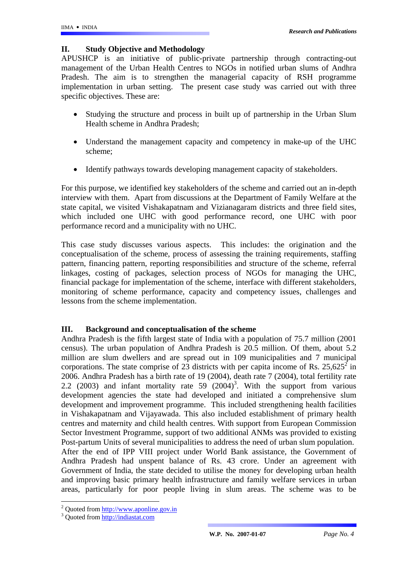### **II. Study Objective and Methodology**

APUSHCP is an initiative of public-private partnership through contracting-out management of the Urban Health Centres to NGOs in notified urban slums of Andhra Pradesh. The aim is to strengthen the managerial capacity of RSH programme implementation in urban setting. The present case study was carried out with three specific objectives. These are:

- Studying the structure and process in built up of partnership in the Urban Slum Health scheme in Andhra Pradesh;
- Understand the management capacity and competency in make-up of the UHC scheme;
- Identify pathways towards developing management capacity of stakeholders.

For this purpose, we identified key stakeholders of the scheme and carried out an in-depth interview with them. Apart from discussions at the Department of Family Welfare at the state capital, we visited Vishakapatnam and Vizianagaram districts and three field sites, which included one UHC with good performance record, one UHC with poor performance record and a municipality with no UHC.

This case study discusses various aspects. This includes: the origination and the conceptualisation of the scheme, process of assessing the training requirements, staffing pattern, financing pattern, reporting responsibilities and structure of the scheme, referral linkages, costing of packages, selection process of NGOs for managing the UHC, financial package for implementation of the scheme, interface with different stakeholders, monitoring of scheme performance, capacity and competency issues, challenges and lessons from the scheme implementation.

## **III. Background and conceptualisation of the scheme**

Andhra Pradesh is the fifth largest state of India with a population of 75.7 million (2001 census). The urban population of Andhra Pradesh is 20.5 million. Of them, about 5.2 million are slum dwellers and are spread out in 109 municipalities and 7 municipal corporations. The state comprise of [2](#page-3-0)3 districts with per capita income of Rs. 25,625<sup>2</sup> in 2006. Andhra Pradesh has a birth rate of 19 (2004), death rate 7 (2004), total fertility rate 2.2 (200[3](#page-3-1)) and infant mortality rate  $59$  (2004)<sup>3</sup>. With the support from various development agencies the state had developed and initiated a comprehensive slum development and improvement programme. This included strengthening health facilities in Vishakapatnam and Vijayawada. This also included establishment of primary health centres and maternity and child health centres. With support from European Commission Sector Investment Programme, support of two additional ANMs was provided to existing Post-partum Units of several municipalities to address the need of urban slum population. After the end of IPP VIII project under World Bank assistance, the Government of Andhra Pradesh had unspent balance of Rs. 43 crore. Under an agreement with Government of India, the state decided to utilise the money for developing urban health and improving basic primary health infrastructure and family welfare services in urban areas, particularly for poor people living in slum areas. The scheme was to be

 $\overline{a}$ 

<span id="page-3-0"></span><sup>&</sup>lt;sup>2</sup> Quoted from http://www.aponline.gov.in

<span id="page-3-1"></span><sup>&</sup>lt;sup>3</sup> Quoted from [http://indiastat.com](http://indiastat.com/)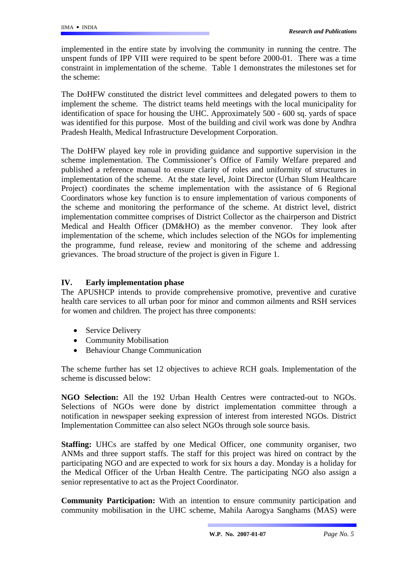implemented in the entire state by involving the community in running the centre. The unspent funds of IPP VIII were required to be spent before 2000-01. There was a time constraint in implementation of the scheme. Table 1 demonstrates the milestones set for the scheme:

The DoHFW constituted the district level committees and delegated powers to them to implement the scheme. The district teams held meetings with the local municipality for identification of space for housing the UHC. Approximately 500 - 600 sq. yards of space was identified for this purpose. Most of the building and civil work was done by Andhra Pradesh Health, Medical Infrastructure Development Corporation.

The DoHFW played key role in providing guidance and supportive supervision in the scheme implementation. The Commissioner's Office of Family Welfare prepared and published a reference manual to ensure clarity of roles and uniformity of structures in implementation of the scheme. At the state level, Joint Director (Urban Slum Healthcare Project) coordinates the scheme implementation with the assistance of 6 Regional Coordinators whose key function is to ensure implementation of various components of the scheme and monitoring the performance of the scheme. At district level, district implementation committee comprises of District Collector as the chairperson and District Medical and Health Officer (DM&HO) as the member convenor. They look after implementation of the scheme, which includes selection of the NGOs for implementing the programme, fund release, review and monitoring of the scheme and addressing grievances. The broad structure of the project is given in Figure 1.

## **IV. Early implementation phase**

The APUSHCP intends to provide comprehensive promotive, preventive and curative health care services to all urban poor for minor and common ailments and RSH services for women and children. The project has three components:

- Service Delivery
- Community Mobilisation
- Behaviour Change Communication

The scheme further has set 12 objectives to achieve RCH goals. Implementation of the scheme is discussed below:

**NGO Selection:** All the 192 Urban Health Centres were contracted-out to NGOs. Selections of NGOs were done by district implementation committee through a notification in newspaper seeking expression of interest from interested NGOs. District Implementation Committee can also select NGOs through sole source basis.

**Staffing:** UHCs are staffed by one Medical Officer, one community organiser, two ANMs and three support staffs. The staff for this project was hired on contract by the participating NGO and are expected to work for six hours a day. Monday is a holiday for the Medical Officer of the Urban Health Centre. The participating NGO also assign a senior representative to act as the Project Coordinator.

**Community Participation:** With an intention to ensure community participation and community mobilisation in the UHC scheme, Mahila Aarogya Sanghams (MAS) were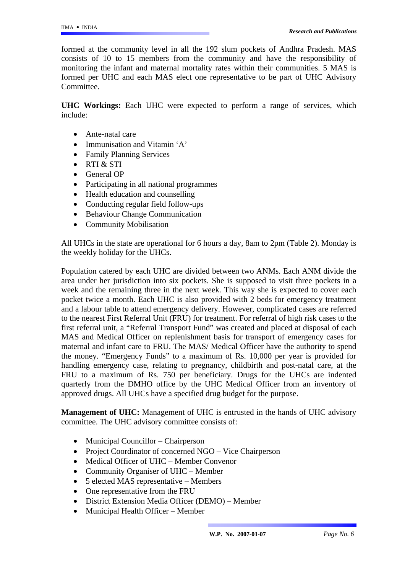formed at the community level in all the 192 slum pockets of Andhra Pradesh. MAS consists of 10 to 15 members from the community and have the responsibility of monitoring the infant and maternal mortality rates within their communities. 5 MAS is formed per UHC and each MAS elect one representative to be part of UHC Advisory Committee.

**UHC Workings:** Each UHC were expected to perform a range of services, which include:

- Ante-natal care
- Immunisation and Vitamin 'A'
- Family Planning Services
- RTI & STI
- General OP
- Participating in all national programmes
- Health education and counselling
- Conducting regular field follow-ups
- Behaviour Change Communication
- Community Mobilisation

All UHCs in the state are operational for 6 hours a day, 8am to 2pm (Table 2). Monday is the weekly holiday for the UHCs.

Population catered by each UHC are divided between two ANMs. Each ANM divide the area under her jurisdiction into six pockets. She is supposed to visit three pockets in a week and the remaining three in the next week. This way she is expected to cover each pocket twice a month. Each UHC is also provided with 2 beds for emergency treatment and a labour table to attend emergency delivery. However, complicated cases are referred to the nearest First Referral Unit (FRU) for treatment. For referral of high risk cases to the first referral unit, a "Referral Transport Fund" was created and placed at disposal of each MAS and Medical Officer on replenishment basis for transport of emergency cases for maternal and infant care to FRU. The MAS/ Medical Officer have the authority to spend the money. "Emergency Funds" to a maximum of Rs. 10,000 per year is provided for handling emergency case, relating to pregnancy, childbirth and post-natal care, at the FRU to a maximum of Rs. 750 per beneficiary. Drugs for the UHCs are indented quarterly from the DMHO office by the UHC Medical Officer from an inventory of approved drugs. All UHCs have a specified drug budget for the purpose.

**Management of UHC:** Management of UHC is entrusted in the hands of UHC advisory committee. The UHC advisory committee consists of:

- Municipal Councillor Chairperson
- Project Coordinator of concerned NGO Vice Chairperson
- Medical Officer of UHC Member Convenor
- Community Organiser of UHC Member
- 5 elected MAS representative Members
- One representative from the FRU
- District Extension Media Officer (DEMO) Member
- Municipal Health Officer Member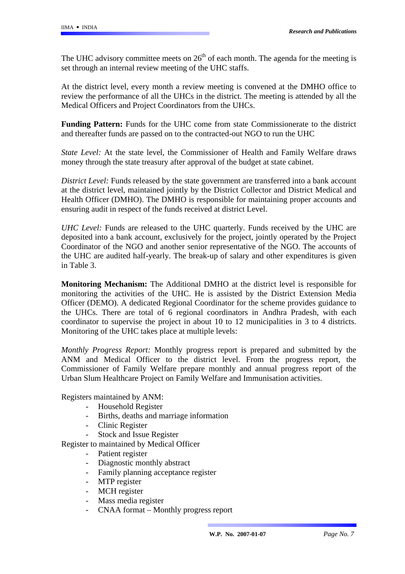The UHC advisory committee meets on  $26<sup>th</sup>$  of each month. The agenda for the meeting is set through an internal review meeting of the UHC staffs.

At the district level, every month a review meeting is convened at the DMHO office to review the performance of all the UHCs in the district. The meeting is attended by all the Medical Officers and Project Coordinators from the UHCs.

**Funding Pattern:** Funds for the UHC come from state Commissionerate to the district and thereafter funds are passed on to the contracted-out NGO to run the UHC

*State Level:* At the state level, the Commissioner of Health and Family Welfare draws money through the state treasury after approval of the budget at state cabinet.

*District Level:* Funds released by the state government are transferred into a bank account at the district level, maintained jointly by the District Collector and District Medical and Health Officer (DMHO). The DMHO is responsible for maintaining proper accounts and ensuring audit in respect of the funds received at district Level.

*UHC Level:* Funds are released to the UHC quarterly. Funds received by the UHC are deposited into a bank account, exclusively for the project, jointly operated by the Project Coordinator of the NGO and another senior representative of the NGO. The accounts of the UHC are audited half-yearly. The break-up of salary and other expenditures is given in Table 3.

**Monitoring Mechanism:** The Additional DMHO at the district level is responsible for monitoring the activities of the UHC. He is assisted by the District Extension Media Officer (DEMO). A dedicated Regional Coordinator for the scheme provides guidance to the UHCs. There are total of 6 regional coordinators in Andhra Pradesh, with each coordinator to supervise the project in about 10 to 12 municipalities in 3 to 4 districts. Monitoring of the UHC takes place at multiple levels:

*Monthly Progress Report:* Monthly progress report is prepared and submitted by the ANM and Medical Officer to the district level. From the progress report, the Commissioner of Family Welfare prepare monthly and annual progress report of the Urban Slum Healthcare Project on Family Welfare and Immunisation activities.

Registers maintained by ANM:

- Household Register
- Births, deaths and marriage information
- Clinic Register
- Stock and Issue Register

Register to maintained by Medical Officer

- Patient register
- Diagnostic monthly abstract
- Family planning acceptance register
- MTP register
- MCH register
- Mass media register
- CNAA format Monthly progress report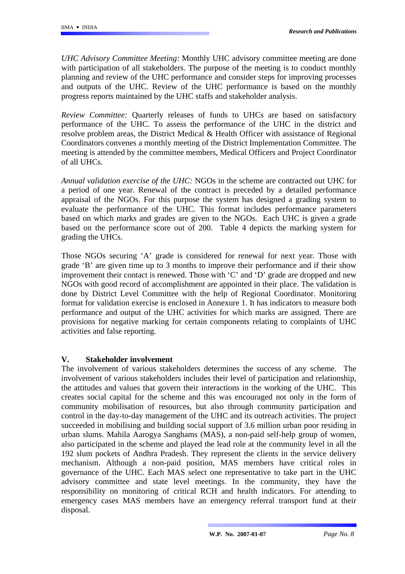*UHC Advisory Committee Meeting:* Monthly UHC advisory committee meeting are done with participation of all stakeholders. The purpose of the meeting is to conduct monthly planning and review of the UHC performance and consider steps for improving processes and outputs of the UHC. Review of the UHC performance is based on the monthly progress reports maintained by the UHC staffs and stakeholder analysis.

*Review Committee:* Quarterly releases of funds to UHCs are based on satisfactory performance of the UHC. To assess the performance of the UHC in the district and resolve problem areas, the District Medical & Health Officer with assistance of Regional Coordinators convenes a monthly meeting of the District Implementation Committee. The meeting is attended by the committee members, Medical Officers and Project Coordinator of all UHCs.

*Annual validation exercise of the UHC:* NGOs in the scheme are contracted out UHC for a period of one year. Renewal of the contract is preceded by a detailed performance appraisal of the NGOs. For this purpose the system has designed a grading system to evaluate the performance of the UHC. This format includes performance parameters based on which marks and grades are given to the NGOs. Each UHC is given a grade based on the performance score out of 200. Table 4 depicts the marking system for grading the UHCs.

Those NGOs securing 'A' grade is considered for renewal for next year. Those with grade 'B' are given time up to 3 months to improve their performance and if their show improvement their contact is renewed. Those with 'C' and 'D' grade are dropped and new NGOs with good record of accomplishment are appointed in their place. The validation is done by District Level Committee with the help of Regional Coordinator. Monitoring format for validation exercise is enclosed in Annexure 1. It has indicators to measure both performance and output of the UHC activities for which marks are assigned. There are provisions for negative marking for certain components relating to complaints of UHC activities and false reporting.

## **V. Stakeholder involvement**

The involvement of various stakeholders determines the success of any scheme. The involvement of various stakeholders includes their level of participation and relationship, the attitudes and values that govern their interactions in the working of the UHC. This creates social capital for the scheme and this was encouraged not only in the form of community mobilisation of resources, but also through community participation and control in the day-to-day management of the UHC and its outreach activities. The project succeeded in mobilising and building social support of 3.6 million urban poor residing in urban slums. Mahila Aarogya Sanghams (MAS), a non-paid self-help group of women, also participated in the scheme and played the lead role at the community level in all the 192 slum pockets of Andhra Pradesh. They represent the clients in the service delivery mechanism. Although a non-paid position, MAS members have critical roles in governance of the UHC. Each MAS select one representative to take part in the UHC advisory committee and state level meetings. In the community, they have the responsibility on monitoring of critical RCH and health indicators. For attending to emergency cases MAS members have an emergency referral transport fund at their disposal.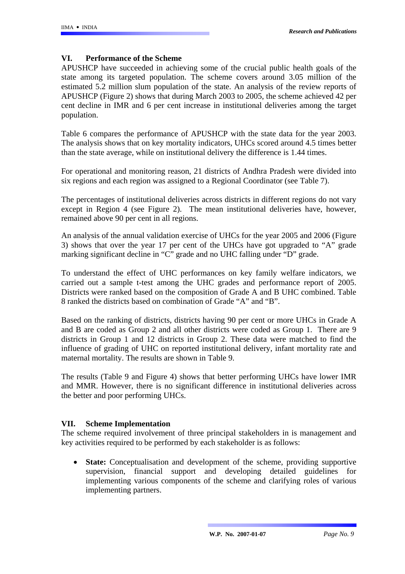## **VI. Performance of the Scheme**

APUSHCP have succeeded in achieving some of the crucial public health goals of the state among its targeted population. The scheme covers around 3.05 million of the estimated 5.2 million slum population of the state. An analysis of the review reports of APUSHCP (Figure 2) shows that during March 2003 to 2005, the scheme achieved 42 per cent decline in IMR and 6 per cent increase in institutional deliveries among the target population.

Table 6 compares the performance of APUSHCP with the state data for the year 2003. The analysis shows that on key mortality indicators, UHCs scored around 4.5 times better than the state average, while on institutional delivery the difference is 1.44 times.

For operational and monitoring reason, 21 districts of Andhra Pradesh were divided into six regions and each region was assigned to a Regional Coordinator (see Table 7).

The percentages of institutional deliveries across districts in different regions do not vary except in Region 4 (see Figure 2). The mean institutional deliveries have, however, remained above 90 per cent in all regions.

An analysis of the annual validation exercise of UHCs for the year 2005 and 2006 (Figure 3) shows that over the year 17 per cent of the UHCs have got upgraded to "A" grade marking significant decline in "C" grade and no UHC falling under "D" grade.

To understand the effect of UHC performances on key family welfare indicators, we carried out a sample t-test among the UHC grades and performance report of 2005. Districts were ranked based on the composition of Grade A and B UHC combined. Table 8 ranked the districts based on combination of Grade "A" and "B".

Based on the ranking of districts, districts having 90 per cent or more UHCs in Grade A and B are coded as Group 2 and all other districts were coded as Group 1. There are 9 districts in Group 1 and 12 districts in Group 2. These data were matched to find the influence of grading of UHC on reported institutional delivery, infant mortality rate and maternal mortality. The results are shown in Table 9.

The results (Table 9 and Figure 4) shows that better performing UHCs have lower IMR and MMR. However, there is no significant difference in institutional deliveries across the better and poor performing UHCs.

## **VII. Scheme Implementation**

The scheme required involvement of three principal stakeholders in is management and key activities required to be performed by each stakeholder is as follows:

• **State:** Conceptualisation and development of the scheme, providing supportive supervision, financial support and developing detailed guidelines for implementing various components of the scheme and clarifying roles of various implementing partners.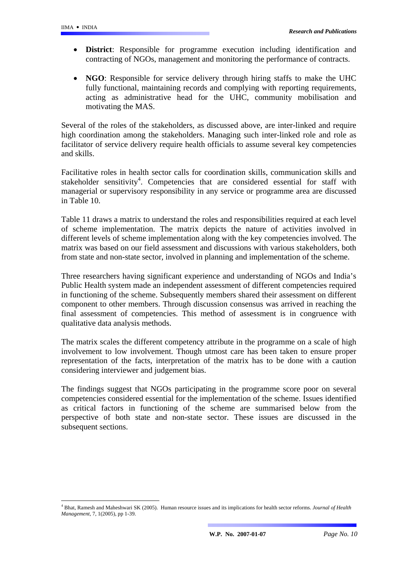$\overline{a}$ 

- **District**: Responsible for programme execution including identification and contracting of NGOs, management and monitoring the performance of contracts.
- **NGO**: Responsible for service delivery through hiring staffs to make the UHC fully functional, maintaining records and complying with reporting requirements, acting as administrative head for the UHC, community mobilisation and motivating the MAS.

Several of the roles of the stakeholders, as discussed above, are inter-linked and require high coordination among the stakeholders. Managing such inter-linked role and role as facilitator of service delivery require health officials to assume several key competencies and skills.

Facilitative roles in health sector calls for coordination skills, communication skills and stakeholder sensitivity<sup>[4](#page-9-0)</sup>. Competencies that are considered essential for staff with managerial or supervisory responsibility in any service or programme area are discussed in Table 10.

Table 11 draws a matrix to understand the roles and responsibilities required at each level of scheme implementation. The matrix depicts the nature of activities involved in different levels of scheme implementation along with the key competencies involved. The matrix was based on our field assessment and discussions with various stakeholders, both from state and non-state sector, involved in planning and implementation of the scheme.

Three researchers having significant experience and understanding of NGOs and India's Public Health system made an independent assessment of different competencies required in functioning of the scheme. Subsequently members shared their assessment on different component to other members. Through discussion consensus was arrived in reaching the final assessment of competencies. This method of assessment is in congruence with qualitative data analysis methods.

The matrix scales the different competency attribute in the programme on a scale of high involvement to low involvement. Though utmost care has been taken to ensure proper representation of the facts, interpretation of the matrix has to be done with a caution considering interviewer and judgement bias.

The findings suggest that NGOs participating in the programme score poor on several competencies considered essential for the implementation of the scheme. Issues identified as critical factors in functioning of the scheme are summarised below from the perspective of both state and non-state sector. These issues are discussed in the subsequent sections.

<span id="page-9-0"></span><sup>4</sup> Bhat, Ramesh and Maheshwari SK (2005). Human resource issues and its implications for health sector reforms. *Journal of Health Management*, 7, 1(2005), pp 1-39.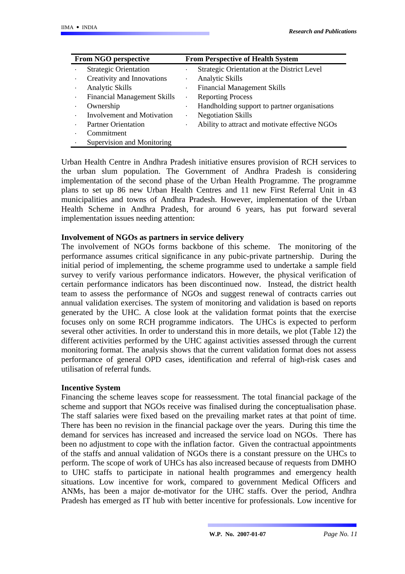| From NGO perspective |                                    |           | <b>From Perspective of Health System</b>       |  |  |  |
|----------------------|------------------------------------|-----------|------------------------------------------------|--|--|--|
| $\bullet$            | <b>Strategic Orientation</b>       | $\bullet$ | Strategic Orientation at the District Level    |  |  |  |
| $\bullet$            | Creativity and Innovations         | $\bullet$ | <b>Analytic Skills</b>                         |  |  |  |
| $\bullet$            | Analytic Skills                    | $\bullet$ | <b>Financial Management Skills</b>             |  |  |  |
| $\bullet$            | <b>Financial Management Skills</b> | $\bullet$ | <b>Reporting Process</b>                       |  |  |  |
| $\bullet$            | Ownership                          | $\bullet$ | Handholding support to partner organisations   |  |  |  |
| $\bullet$            | <b>Involvement and Motivation</b>  | $\bullet$ | <b>Negotiation Skills</b>                      |  |  |  |
| $\bullet$            | <b>Partner Orientation</b>         | $\bullet$ | Ability to attract and motivate effective NGOs |  |  |  |
| $\bullet$            | Commitment                         |           |                                                |  |  |  |
|                      | Supervision and Monitoring         |           |                                                |  |  |  |

Urban Health Centre in Andhra Pradesh initiative ensures provision of RCH services to the urban slum population. The Government of Andhra Pradesh is considering implementation of the second phase of the Urban Health Programme. The programme plans to set up 86 new Urban Health Centres and 11 new First Referral Unit in 43 municipalities and towns of Andhra Pradesh. However, implementation of the Urban Health Scheme in Andhra Pradesh, for around 6 years, has put forward several implementation issues needing attention:

#### **Involvement of NGOs as partners in service delivery**

The involvement of NGOs forms backbone of this scheme. The monitoring of the performance assumes critical significance in any pubic-private partnership. During the initial period of implementing, the scheme programme used to undertake a sample field survey to verify various performance indicators. However, the physical verification of certain performance indicators has been discontinued now. Instead, the district health team to assess the performance of NGOs and suggest renewal of contracts carries out annual validation exercises. The system of monitoring and validation is based on reports generated by the UHC. A close look at the validation format points that the exercise focuses only on some RCH programme indicators. The UHCs is expected to perform several other activities. In order to understand this in more details, we plot (Table 12) the different activities performed by the UHC against activities assessed through the current monitoring format. The analysis shows that the current validation format does not assess performance of general OPD cases, identification and referral of high-risk cases and utilisation of referral funds.

#### **Incentive System**

Financing the scheme leaves scope for reassessment. The total financial package of the scheme and support that NGOs receive was finalised during the conceptualisation phase. The staff salaries were fixed based on the prevailing market rates at that point of time. There has been no revision in the financial package over the years. During this time the demand for services has increased and increased the service load on NGOs. There has been no adjustment to cope with the inflation factor. Given the contractual appointments of the staffs and annual validation of NGOs there is a constant pressure on the UHCs to perform. The scope of work of UHCs has also increased because of requests from DMHO to UHC staffs to participate in national health programmes and emergency health situations. Low incentive for work, compared to government Medical Officers and ANMs, has been a major de-motivator for the UHC staffs. Over the period, Andhra Pradesh has emerged as IT hub with better incentive for professionals. Low incentive for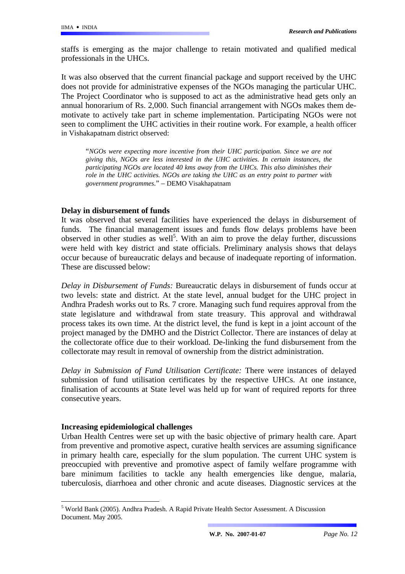staffs is emerging as the major challenge to retain motivated and qualified medical professionals in the UHCs.

It was also observed that the current financial package and support received by the UHC does not provide for administrative expenses of the NGOs managing the particular UHC. The Project Coordinator who is supposed to act as the administrative head gets only an annual honorarium of Rs. 2,000. Such financial arrangement with NGOs makes them demotivate to actively take part in scheme implementation. Participating NGOs were not seen to compliment the UHC activities in their routine work. For example, a health officer in Vishakapatnam district observed:

"*NGOs were expecting more incentive from their UHC participation. Since we are not giving this, NGOs are less interested in the UHC activities. In certain instances, the participating NGOs are located 40 kms away from the UHCs. This also diminishes their role in the UHC activities. NGOs are taking the UHC as an entry point to partner with government programmes*." – DEMO Visakhapatnam

### **Delay in disbursement of funds**

It was observed that several facilities have experienced the delays in disbursement of funds. The financial management issues and funds flow delays problems have been observed in other studies as well<sup>[5](#page-11-0)</sup>. With an aim to prove the delay further, discussions were held with key district and state officials. Preliminary analysis shows that delays occur because of bureaucratic delays and because of inadequate reporting of information. These are discussed below:

*Delay in Disbursement of Funds:* Bureaucratic delays in disbursement of funds occur at two levels: state and district. At the state level, annual budget for the UHC project in Andhra Pradesh works out to Rs. 7 crore. Managing such fund requires approval from the state legislature and withdrawal from state treasury. This approval and withdrawal process takes its own time. At the district level, the fund is kept in a joint account of the project managed by the DMHO and the District Collector. There are instances of delay at the collectorate office due to their workload. De-linking the fund disbursement from the collectorate may result in removal of ownership from the district administration.

*Delay in Submission of Fund Utilisation Certificate:* There were instances of delayed submission of fund utilisation certificates by the respective UHCs. At one instance, finalisation of accounts at State level was held up for want of required reports for three consecutive years.

#### **Increasing epidemiological challenges**

 $\overline{a}$ 

Urban Health Centres were set up with the basic objective of primary health care. Apart from preventive and promotive aspect, curative health services are assuming significance in primary health care, especially for the slum population. The current UHC system is preoccupied with preventive and promotive aspect of family welfare programme with bare minimum facilities to tackle any health emergencies like dengue, malaria, tuberculosis, diarrhoea and other chronic and acute diseases. Diagnostic services at the

<span id="page-11-0"></span><sup>5</sup> World Bank (2005). Andhra Pradesh. A Rapid Private Health Sector Assessment. A Discussion Document. May 2005.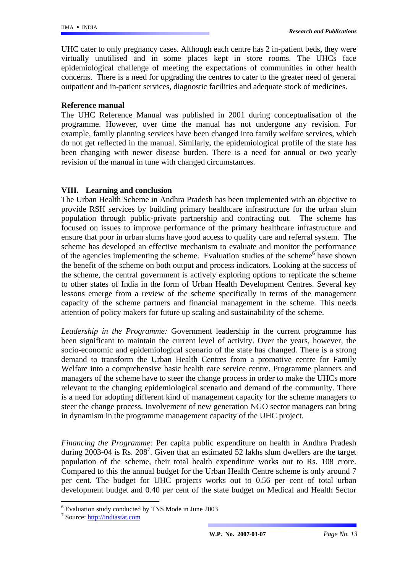UHC cater to only pregnancy cases. Although each centre has 2 in-patient beds, they were virtually unutilised and in some places kept in store rooms. The UHCs face epidemiological challenge of meeting the expectations of communities in other health concerns. There is a need for upgrading the centres to cater to the greater need of general outpatient and in-patient services, diagnostic facilities and adequate stock of medicines.

#### **Reference manual**

The UHC Reference Manual was published in 2001 during conceptualisation of the programme. However, over time the manual has not undergone any revision. For example, family planning services have been changed into family welfare services, which do not get reflected in the manual. Similarly, the epidemiological profile of the state has been changing with newer disease burden. There is a need for annual or two yearly revision of the manual in tune with changed circumstances.

## **VIII. Learning and conclusion**

The Urban Health Scheme in Andhra Pradesh has been implemented with an objective to provide RSH services by building primary healthcare infrastructure for the urban slum population through public-private partnership and contracting out. The scheme has focused on issues to improve performance of the primary healthcare infrastructure and ensure that poor in urban slums have good access to quality care and referral system. The scheme has developed an effective mechanism to evaluate and monitor the performance ofthe agencies implementing the scheme. Evaluation studies of the scheme<sup>6</sup> have shown the benefit of the scheme on both output and process indicators. Looking at the success of the scheme, the central government is actively exploring options to replicate the scheme to other states of India in the form of Urban Health Development Centres. Several key lessons emerge from a review of the scheme specifically in terms of the management capacity of the scheme partners and financial management in the scheme. This needs attention of policy makers for future up scaling and sustainability of the scheme.

*Leadership in the Programme:* Government leadership in the current programme has been significant to maintain the current level of activity. Over the years, however, the socio-economic and epidemiological scenario of the state has changed. There is a strong demand to transform the Urban Health Centres from a promotive centre for Family Welfare into a comprehensive basic health care service centre. Programme planners and managers of the scheme have to steer the change process in order to make the UHCs more relevant to the changing epidemiological scenario and demand of the community. There is a need for adopting different kind of management capacity for the scheme managers to steer the change process. Involvement of new generation NGO sector managers can bring in dynamism in the programme management capacity of the UHC project.

*Financing the Programme:* Per capita public expenditure on health in Andhra Pradesh during  $2003-04$  is Rs.  $208^7$  $208^7$ . Given that an estimated 52 lakhs slum dwellers are the target population of the scheme, their total health expenditure works out to Rs. 108 crore. Compared to this the annual budget for the Urban Health Centre scheme is only around 7 per cent. The budget for UHC projects works out to 0.56 per cent of total urban development budget and 0.40 per cent of the state budget on Medical and Health Sector

 $\overline{a}$ 

<span id="page-12-0"></span><sup>6</sup> Evaluation study conducted by TNS Mode in June 2003

<span id="page-12-1"></span><sup>&</sup>lt;sup>7</sup> Source: [http://indiastat.com](http://indiastat.com/)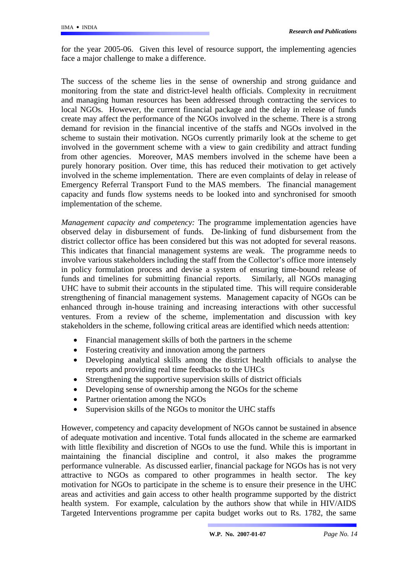for the year 2005-06. Given this level of resource support, the implementing agencies face a major challenge to make a difference.

The success of the scheme lies in the sense of ownership and strong guidance and monitoring from the state and district-level health officials. Complexity in recruitment and managing human resources has been addressed through contracting the services to local NGOs. However, the current financial package and the delay in release of funds create may affect the performance of the NGOs involved in the scheme. There is a strong demand for revision in the financial incentive of the staffs and NGOs involved in the scheme to sustain their motivation. NGOs currently primarily look at the scheme to get involved in the government scheme with a view to gain credibility and attract funding from other agencies. Moreover, MAS members involved in the scheme have been a purely honorary position. Over time, this has reduced their motivation to get actively involved in the scheme implementation. There are even complaints of delay in release of Emergency Referral Transport Fund to the MAS members. The financial management capacity and funds flow systems needs to be looked into and synchronised for smooth implementation of the scheme.

*Management capacity and competency:* The programme implementation agencies have observed delay in disbursement of funds. De-linking of fund disbursement from the district collector office has been considered but this was not adopted for several reasons. This indicates that financial management systems are weak. The programme needs to involve various stakeholders including the staff from the Collector's office more intensely in policy formulation process and devise a system of ensuring time-bound release of funds and timelines for submitting financial reports. Similarly, all NGOs managing UHC have to submit their accounts in the stipulated time. This will require considerable strengthening of financial management systems. Management capacity of NGOs can be enhanced through in-house training and increasing interactions with other successful ventures. From a review of the scheme, implementation and discussion with key stakeholders in the scheme, following critical areas are identified which needs attention:

- Financial management skills of both the partners in the scheme
- Fostering creativity and innovation among the partners
- Developing analytical skills among the district health officials to analyse the reports and providing real time feedbacks to the UHCs
- Strengthening the supportive supervision skills of district officials
- Developing sense of ownership among the NGOs for the scheme
- Partner orientation among the NGOs
- Supervision skills of the NGOs to monitor the UHC staffs

However, competency and capacity development of NGOs cannot be sustained in absence of adequate motivation and incentive. Total funds allocated in the scheme are earmarked with little flexibility and discretion of NGOs to use the fund. While this is important in maintaining the financial discipline and control, it also makes the programme performance vulnerable. As discussed earlier, financial package for NGOs has is not very attractive to NGOs as compared to other programmes in health sector. The key motivation for NGOs to participate in the scheme is to ensure their presence in the UHC areas and activities and gain access to other health programme supported by the district health system. For example, calculation by the authors show that while in HIV/AIDS Targeted Interventions programme per capita budget works out to Rs. 1782, the same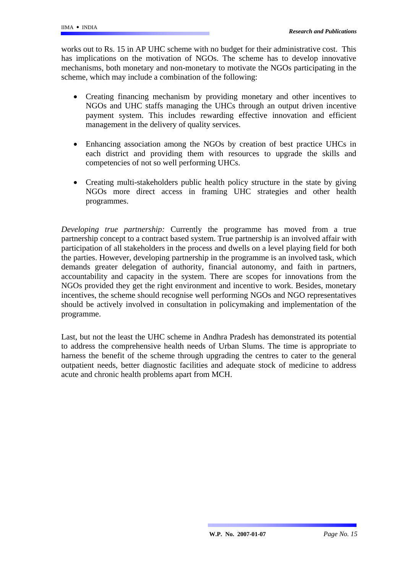works out to Rs. 15 in AP UHC scheme with no budget for their administrative cost. This has implications on the motivation of NGOs. The scheme has to develop innovative mechanisms, both monetary and non-monetary to motivate the NGOs participating in the scheme, which may include a combination of the following:

- Creating financing mechanism by providing monetary and other incentives to NGOs and UHC staffs managing the UHCs through an output driven incentive payment system. This includes rewarding effective innovation and efficient management in the delivery of quality services.
- Enhancing association among the NGOs by creation of best practice UHCs in each district and providing them with resources to upgrade the skills and competencies of not so well performing UHCs.
- Creating multi-stakeholders public health policy structure in the state by giving NGOs more direct access in framing UHC strategies and other health programmes.

*Developing true partnership:* Currently the programme has moved from a true partnership concept to a contract based system. True partnership is an involved affair with participation of all stakeholders in the process and dwells on a level playing field for both the parties. However, developing partnership in the programme is an involved task, which demands greater delegation of authority, financial autonomy, and faith in partners, accountability and capacity in the system. There are scopes for innovations from the NGOs provided they get the right environment and incentive to work. Besides, monetary incentives, the scheme should recognise well performing NGOs and NGO representatives should be actively involved in consultation in policymaking and implementation of the programme.

Last, but not the least the UHC scheme in Andhra Pradesh has demonstrated its potential to address the comprehensive health needs of Urban Slums. The time is appropriate to harness the benefit of the scheme through upgrading the centres to cater to the general outpatient needs, better diagnostic facilities and adequate stock of medicine to address acute and chronic health problems apart from MCH.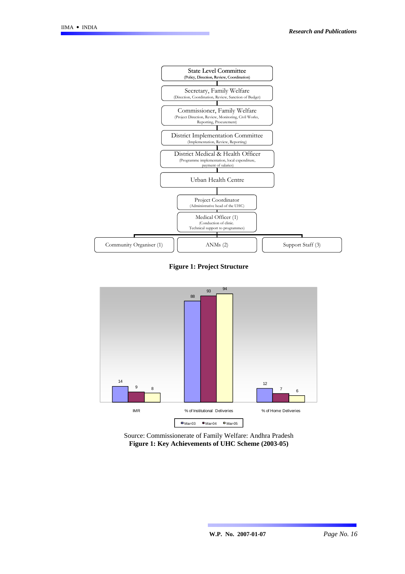

**Figure 1: Project Structure** 



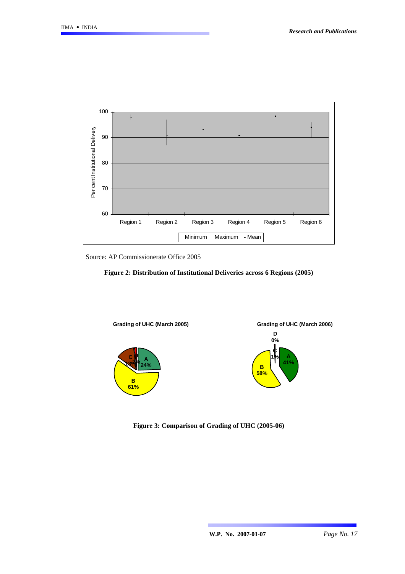

Source: AP Commissionerate Office 2005





**Figure 3: Comparison of Grading of UHC (2005-06)**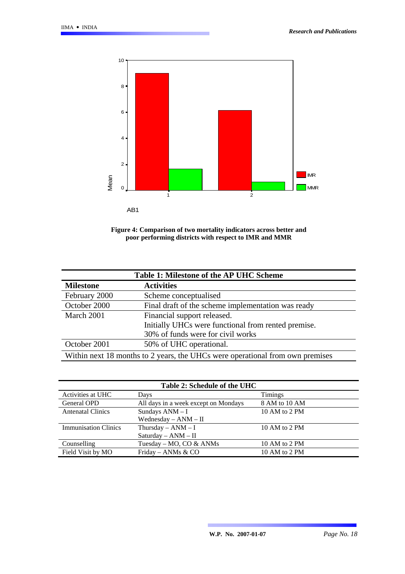

**Figure 4: Comparison of two mortality indicators across better and poor performing districts with respect to IMR and MMR** 

| Table 1: Milestone of the AP UHC Scheme                                       |                                                    |  |  |  |  |  |
|-------------------------------------------------------------------------------|----------------------------------------------------|--|--|--|--|--|
| <b>Milestone</b>                                                              | <b>Activities</b>                                  |  |  |  |  |  |
| February 2000                                                                 | Scheme conceptualised                              |  |  |  |  |  |
| October 2000                                                                  | Final draft of the scheme implementation was ready |  |  |  |  |  |
| March 2001                                                                    | Financial support released.                        |  |  |  |  |  |
| Initially UHCs were functional from rented premise.                           |                                                    |  |  |  |  |  |
|                                                                               | 30% of funds were for civil works                  |  |  |  |  |  |
| October 2001                                                                  | 50% of UHC operational.                            |  |  |  |  |  |
| Within next 18 months to 2 years, the UHCs were operational from own premises |                                                    |  |  |  |  |  |

| Table 2: Schedule of the UHC |                                      |                |  |  |  |  |
|------------------------------|--------------------------------------|----------------|--|--|--|--|
| Activities at UHC            | Days                                 | <b>Timings</b> |  |  |  |  |
| General OPD                  | All days in a week except on Mondays | 8 AM to 10 AM  |  |  |  |  |
| <b>Antenatal Clinics</b>     | Sundays ANM - I                      | 10 AM to 2 PM  |  |  |  |  |
| Wednesday $-$ ANM $-$ II     |                                      |                |  |  |  |  |
| <b>Immunisation Clinics</b>  | Thursday $-$ ANM $-$ I               | 10 AM to 2 PM  |  |  |  |  |
|                              | $Saturday - ANM - II$                |                |  |  |  |  |
| Counselling                  | Tuesday – MO, CO & ANMs              | 10 AM to 2 PM  |  |  |  |  |
| Field Visit by MO            | Friday – ANMs & CO                   | 10 AM to 2 PM  |  |  |  |  |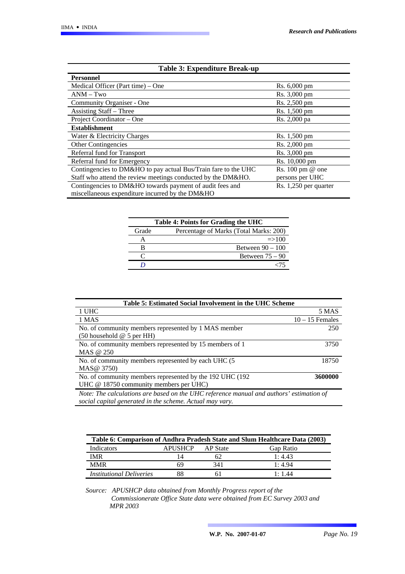| <b>Table 3: Expenditure Break-up</b>                           |                         |
|----------------------------------------------------------------|-------------------------|
| <b>Personnel</b>                                               |                         |
| Medical Officer (Part time) – One                              | Rs. 6,000 pm            |
| $ANM-Two$                                                      | Rs. 3,000 pm            |
| Community Organiser - One                                      | Rs. 2,500 pm            |
| Assisting Staff – Three                                        | Rs. 1,500 pm            |
| Project Coordinator – One                                      | Rs. 2,000 pa            |
| <b>Establishment</b>                                           |                         |
| Water & Electricity Charges                                    | Rs. 1,500 pm            |
| Other Contingencies                                            | Rs. 2,000 pm            |
| Referral fund for Transport                                    | Rs. 3,000 pm            |
| Referral fund for Emergency                                    | Rs. 10,000 pm           |
| Contingencies to DM&HO to pay actual Bus/Train fare to the UHC | Rs. 100 pm @ one        |
| Staff who attend the review meetings conducted by the DM&HO.   | persons per UHC         |
| Contingencies to DM&HO towards payment of audit fees and       | $Rs. 1,250$ per quarter |
| miscellaneous expenditure incurred by the DM&HO                |                         |

| Table 4: Points for Grading the UHC |                                        |  |  |  |  |  |
|-------------------------------------|----------------------------------------|--|--|--|--|--|
| Grade                               | Percentage of Marks (Total Marks: 200) |  |  |  |  |  |
|                                     | $\approx$ 100                          |  |  |  |  |  |
|                                     | Between $90 - 100$                     |  |  |  |  |  |
|                                     | Between $75 - 90$                      |  |  |  |  |  |
|                                     |                                        |  |  |  |  |  |

| Table 5: Estimated Social Involvement in the UHC Scheme                                 |                   |  |  |  |  |
|-----------------------------------------------------------------------------------------|-------------------|--|--|--|--|
| 1 UHC                                                                                   | 5 MAS             |  |  |  |  |
| 1 MAS                                                                                   | $10 - 15$ Females |  |  |  |  |
| No. of community members represented by 1 MAS member                                    | 250               |  |  |  |  |
| $(50$ household @ 5 per HH)                                                             |                   |  |  |  |  |
| No. of community members represented by 15 members of 1                                 | 3750              |  |  |  |  |
| MAS @ 250                                                                               |                   |  |  |  |  |
| No. of community members represented by each UHC (5)                                    | 18750             |  |  |  |  |
| MAS@ 3750)                                                                              |                   |  |  |  |  |
| 3600000<br>No. of community members represented by the 192 UHC (192)                    |                   |  |  |  |  |
| UHC @ 18750 community members per UHC)                                                  |                   |  |  |  |  |
| Note: The calculations are based on the UHC reference manual and authors' estimation of |                   |  |  |  |  |
| social capital generated in the scheme. Actual may vary.                                |                   |  |  |  |  |

| Table 6: Comparison of Andhra Pradesh State and Slum Healthcare Data (2003) |                |          |                  |  |  |  |  |
|-----------------------------------------------------------------------------|----------------|----------|------------------|--|--|--|--|
| Indicators                                                                  | <b>APUSHCP</b> | AP State | <b>Gap Ratio</b> |  |  |  |  |
| <b>IMR</b>                                                                  | 14             |          | 1:4.43           |  |  |  |  |
| <b>MMR</b>                                                                  | 69             | 341      | 1:4.94           |  |  |  |  |
| <i>Institutional Deliveries</i>                                             |                |          | 1:1.44           |  |  |  |  |

*Source: APUSHCP data obtained from Monthly Progress report of the Commissionerate Office State data were obtained from EC Survey 2003 and MPR 2003*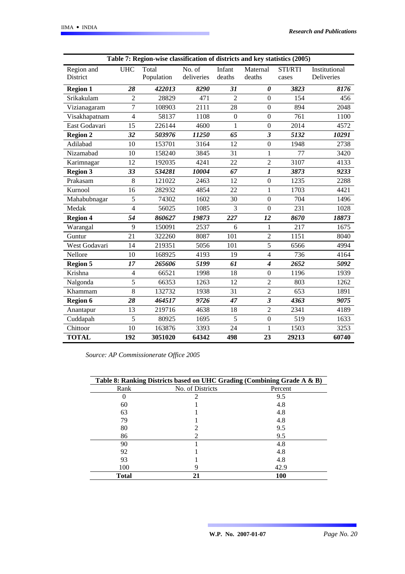|                 | Table 7: Region-wise classification of districts and key statistics (2005) |            |            |                  |                             |         |               |  |
|-----------------|----------------------------------------------------------------------------|------------|------------|------------------|-----------------------------|---------|---------------|--|
| Region and      | <b>UHC</b>                                                                 | Total      | No. of     | Infant           | Maternal                    | STI/RTI | Institutional |  |
| District        |                                                                            | Population | deliveries | deaths           | deaths                      | cases   | Deliveries    |  |
| <b>Region 1</b> | 28                                                                         | 422013     | 8290       | 31               | $\boldsymbol{\theta}$       | 3823    | 8176          |  |
| Srikakulam      | $\overline{2}$                                                             | 28829      | 471        | $\overline{2}$   | $\Omega$                    | 154     | 456           |  |
| Vizianagaram    | $\overline{7}$                                                             | 108903     | 2111       | 28               | $\boldsymbol{0}$            | 894     | 2048          |  |
| Visakhapatnam   | $\overline{4}$                                                             | 58137      | 1108       | $\boldsymbol{0}$ | $\boldsymbol{0}$            | 761     | 1100          |  |
| East Godavari   | 15                                                                         | 226144     | 4600       | 1                | $\boldsymbol{0}$            | 2014    | 4572          |  |
| <b>Region 2</b> | 32                                                                         | 503976     | 11250      | 65               | 3                           | 5132    | 10291         |  |
| Adilabad        | 10                                                                         | 153701     | 3164       | 12               | $\overline{0}$              | 1948    | 2738          |  |
| Nizamabad       | 10                                                                         | 158240     | 3845       | 31               | $\mathbf{1}$                | 77      | 3420          |  |
| Karimnagar      | 12                                                                         | 192035     | 4241       | 22               | $\overline{2}$              | 3107    | 4133          |  |
| <b>Region 3</b> | 33                                                                         | 534281     | 10004      | 67               | $\boldsymbol{l}$            | 3873    | 9233          |  |
| Prakasam        | 8                                                                          | 121022     | 2463       | 12               | $\boldsymbol{0}$            | 1235    | 2288          |  |
| Kurnool         | 16                                                                         | 282932     | 4854       | 22               | 1                           | 1703    | 4421          |  |
| Mahabubnagar    | 5                                                                          | 74302      | 1602       | 30               | $\boldsymbol{0}$            | 704     | 1496          |  |
| Medak           | 4                                                                          | 56025      | 1085       | 3                | $\boldsymbol{0}$            | 231     | 1028          |  |
| <b>Region 4</b> | 54                                                                         | 860627     | 19873      | 227              | 12                          | 8670    | 18873         |  |
| Warangal        | 9                                                                          | 150091     | 2537       | 6                | 1                           | 217     | 1675          |  |
| Guntur          | 21                                                                         | 322260     | 8087       | 101              | $\overline{2}$              | 1151    | 8040          |  |
| West Godavari   | 14                                                                         | 219351     | 5056       | 101              | 5                           | 6566    | 4994          |  |
| Nellore         | 10                                                                         | 168925     | 4193       | 19               | $\overline{4}$              | 736     | 4164          |  |
| <b>Region 5</b> | 17                                                                         | 265606     | 5199       | 61               | $\overline{\boldsymbol{4}}$ | 2652    | 5092          |  |
| Krishna         | 4                                                                          | 66521      | 1998       | 18               | $\boldsymbol{0}$            | 1196    | 1939          |  |
| Nalgonda        | 5                                                                          | 66353      | 1263       | 12               | $\overline{2}$              | 803     | 1262          |  |
| Khammam         | 8                                                                          | 132732     | 1938       | 31               | $\overline{2}$              | 653     | 1891          |  |
| <b>Region 6</b> | 28                                                                         | 464517     | 9726       | 47               | $\mathfrak{z}$              | 4363    | 9075          |  |
| Anantapur       | 13                                                                         | 219716     | 4638       | 18               | $\overline{2}$              | 2341    | 4189          |  |
| Cuddapah        | 5                                                                          | 80925      | 1695       | 5                | $\mathbf{0}$                | 519     | 1633          |  |
| Chittoor        | 10                                                                         | 163876     | 3393       | 24               | 1                           | 1503    | 3253          |  |
| <b>TOTAL</b>    | 192                                                                        | 3051020    | 64342      | 498              | 23                          | 29213   | 60740         |  |

*Source: AP Commissionerate Office 2005*

| Table 8: Ranking Districts based on UHC Grading (Combining Grade A & B) |                  |         |  |  |  |  |
|-------------------------------------------------------------------------|------------------|---------|--|--|--|--|
| Rank                                                                    | No. of Districts | Percent |  |  |  |  |
|                                                                         |                  | 9.5     |  |  |  |  |
| 60                                                                      |                  | 4.8     |  |  |  |  |
| 63                                                                      |                  | 4.8     |  |  |  |  |
| 79                                                                      |                  | 4.8     |  |  |  |  |
| 80                                                                      |                  | 9.5     |  |  |  |  |
| 86                                                                      |                  | 9.5     |  |  |  |  |
| 90                                                                      |                  | 4.8     |  |  |  |  |
| 92                                                                      |                  | 4.8     |  |  |  |  |
| 93                                                                      |                  | 4.8     |  |  |  |  |
| 100                                                                     |                  | 42.9    |  |  |  |  |
| <b>Total</b>                                                            | 21               | 100     |  |  |  |  |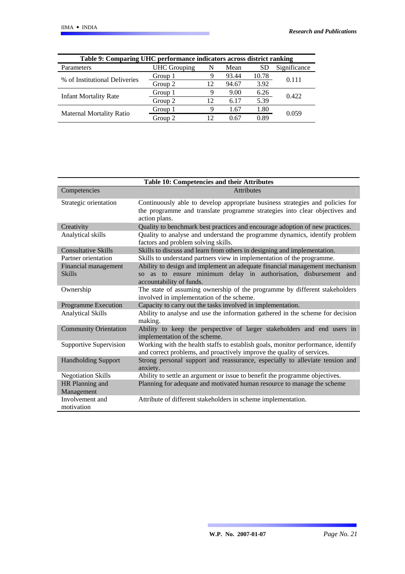| Table 9: Comparing UHC performance indicators across district ranking |                     |    |       |       |              |  |  |
|-----------------------------------------------------------------------|---------------------|----|-------|-------|--------------|--|--|
| Parameters                                                            | <b>UHC</b> Grouping | N  | Mean  | SD.   | Significance |  |  |
| % of Institutional Deliveries                                         | Group 1             | 9  | 93.44 | 10.78 | 0.111        |  |  |
|                                                                       | Group 2             | 12 | 94.67 | 3.92  |              |  |  |
| <b>Infant Mortality Rate</b>                                          | Group 1             | 9  | 9.00  | 6.26  | 0.422        |  |  |
|                                                                       | Group 2             | 12 | 6.17  | 5.39  |              |  |  |
|                                                                       | Group 1             | Q  | 1.67  | 1.80  | 0.059        |  |  |
| <b>Maternal Mortality Ratio</b>                                       | Group 2             | 12 | 0.67  | 0.89  |              |  |  |

| Table 10: Competencies and their Attributes |                                                                                                                                                                              |  |  |  |  |  |
|---------------------------------------------|------------------------------------------------------------------------------------------------------------------------------------------------------------------------------|--|--|--|--|--|
| Competencies                                | <b>Attributes</b>                                                                                                                                                            |  |  |  |  |  |
| Strategic orientation                       | Continuously able to develop appropriate business strategies and policies for<br>the programme and translate programme strategies into clear objectives and<br>action plans. |  |  |  |  |  |
| Creativity                                  | Quality to benchmark best practices and encourage adoption of new practices.                                                                                                 |  |  |  |  |  |
| Analytical skills                           | Quality to analyse and understand the programme dynamics, identify problem<br>factors and problem solving skills.                                                            |  |  |  |  |  |
| <b>Consultative Skills</b>                  | Skills to discuss and learn from others in designing and implementation.                                                                                                     |  |  |  |  |  |
| Partner orientation                         | Skills to understand partners view in implementation of the programme.                                                                                                       |  |  |  |  |  |
| Financial management<br><b>Skills</b>       | Ability to design and implement an adequate financial management mechanism<br>so as to ensure minimum delay in authorisation, disbursement and<br>accountability of funds.   |  |  |  |  |  |
| Ownership                                   | The state of assuming ownership of the programme by different stakeholders<br>involved in implementation of the scheme.                                                      |  |  |  |  |  |
| <b>Programme Execution</b>                  | Capacity to carry out the tasks involved in implementation.                                                                                                                  |  |  |  |  |  |
| <b>Analytical Skills</b>                    | Ability to analyse and use the information gathered in the scheme for decision<br>making.                                                                                    |  |  |  |  |  |
| <b>Community Orientation</b>                | Ability to keep the perspective of larger stakeholders and end users in<br>implementation of the scheme.                                                                     |  |  |  |  |  |
| Supportive Supervision                      | Working with the health staffs to establish goals, monitor performance, identify<br>and correct problems, and proactively improve the quality of services.                   |  |  |  |  |  |
| <b>Handholding Support</b>                  | Strong personal support and reassurance, especially to alleviate tension and<br>anxiety.                                                                                     |  |  |  |  |  |
| <b>Negotiation Skills</b>                   | Ability to settle an argument or issue to benefit the programme objectives.                                                                                                  |  |  |  |  |  |
| HR Planning and<br>Management               | Planning for adequate and motivated human resource to manage the scheme                                                                                                      |  |  |  |  |  |
| Involvement and<br>motivation               | Attribute of different stakeholders in scheme implementation.                                                                                                                |  |  |  |  |  |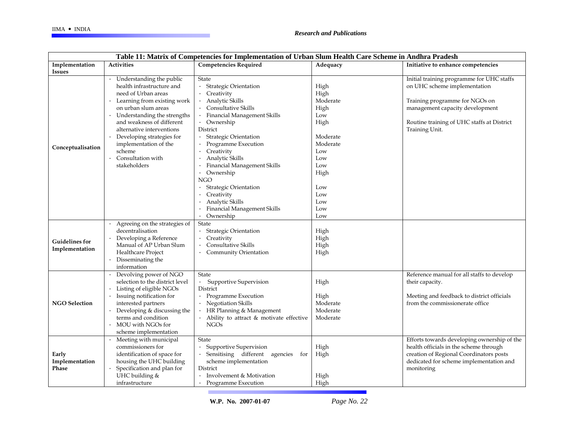| Table 11: Matrix of Competencies for Implementation of Urban Slum Health Care Scheme in Andhra Pradesh |                                                                                                                                                                                                                                                                                                                                  |                                                                                                                                                                                                                                                                                                                                                                                                                                                                                                  |                                                                                                                                         |                                                                                                                                                                                                                |  |  |
|--------------------------------------------------------------------------------------------------------|----------------------------------------------------------------------------------------------------------------------------------------------------------------------------------------------------------------------------------------------------------------------------------------------------------------------------------|--------------------------------------------------------------------------------------------------------------------------------------------------------------------------------------------------------------------------------------------------------------------------------------------------------------------------------------------------------------------------------------------------------------------------------------------------------------------------------------------------|-----------------------------------------------------------------------------------------------------------------------------------------|----------------------------------------------------------------------------------------------------------------------------------------------------------------------------------------------------------------|--|--|
| Implementation                                                                                         | <b>Activities</b>                                                                                                                                                                                                                                                                                                                | <b>Competencies Required</b>                                                                                                                                                                                                                                                                                                                                                                                                                                                                     | Adequacy                                                                                                                                | Initiative to enhance competencies                                                                                                                                                                             |  |  |
| <b>Issues</b>                                                                                          |                                                                                                                                                                                                                                                                                                                                  |                                                                                                                                                                                                                                                                                                                                                                                                                                                                                                  |                                                                                                                                         |                                                                                                                                                                                                                |  |  |
| Conceptualisation                                                                                      | Understanding the public<br>health infrastructure and<br>need of Urban areas<br>Learning from existing work<br>on urban slum areas<br>Understanding the strengths<br>and weakness of different<br>alternative interventions<br>Developing strategies for<br>implementation of the<br>scheme<br>Consultation with<br>stakeholders | State<br>· Strategic Orientation<br>· Creativity<br>Analytic Skills<br><b>Consultative Skills</b><br>Financial Management Skills<br>· Ownership<br>District<br><b>Strategic Orientation</b><br>Programme Execution<br>Creativity<br>Analytic Skills<br><b>Financial Management Skills</b><br>$\bullet$<br>Ownership<br><b>NGO</b><br><b>Strategic Orientation</b><br>Creativity<br>$\bullet$<br>Analytic Skills<br>$\bullet$<br>Financial Management Skills<br>Ownership<br>$\ddot{\phantom{0}}$ | High<br>High<br>Moderate<br>High<br>Low<br>High<br>Moderate<br>Moderate<br>Low<br>Low<br>Low<br>High<br>Low<br>Low<br>Low<br>Low<br>Low | Initial training programme for UHC staffs<br>on UHC scheme implementation<br>Training programme for NGOs on<br>management capacity development<br>Routine training of UHC staffs at District<br>Training Unit. |  |  |
| <b>Guidelines for</b><br>Implementation                                                                | Agreeing on the strategies of<br>decentralisation<br>Developing a Reference<br>Manual of AP Urban Slum<br>Healthcare Project<br>Disseminating the<br>information                                                                                                                                                                 | State<br><b>Strategic Orientation</b><br>Creativity<br>$\bullet$<br><b>Consultative Skills</b><br>Community Orientation                                                                                                                                                                                                                                                                                                                                                                          | High<br>High<br>High<br>High                                                                                                            |                                                                                                                                                                                                                |  |  |
| <b>NGO Selection</b>                                                                                   | Devolving power of NGO<br>selection to the district level<br>Listing of eligible NGOs<br>Issuing notification for<br>interested partners<br>Developing & discussing the<br>terms and condition<br>MOU with NGOs for<br>scheme implementation                                                                                     | <b>State</b><br>· Supportive Supervision<br>District<br>· Programme Execution<br>· Negotiation Skills<br>· HR Planning & Management<br>Ability to attract & motivate effective<br><b>NGOs</b>                                                                                                                                                                                                                                                                                                    | High<br>High<br>Moderate<br>Moderate<br>Moderate                                                                                        | Reference manual for all staffs to develop<br>their capacity.<br>Meeting and feedback to district officials<br>from the commissionerate office                                                                 |  |  |
| Early<br>Implementation<br>Phase                                                                       | Meeting with municipal<br>commissioners for<br>identification of space for<br>housing the UHC building<br>Specification and plan for<br>UHC building &<br>infrastructure                                                                                                                                                         | State<br>Supportive Supervision<br>· Sensitising different agencies for<br>scheme implementation<br>District<br>Involvement & Motivation<br>Programme Execution                                                                                                                                                                                                                                                                                                                                  | High<br>High<br>High<br>High                                                                                                            | Efforts towards developing ownership of the<br>health officials in the scheme through<br>creation of Regional Coordinators posts<br>dedicated for scheme implementation and<br>monitoring                      |  |  |

**W.P. No. 2007-01-07** *Page No. 22*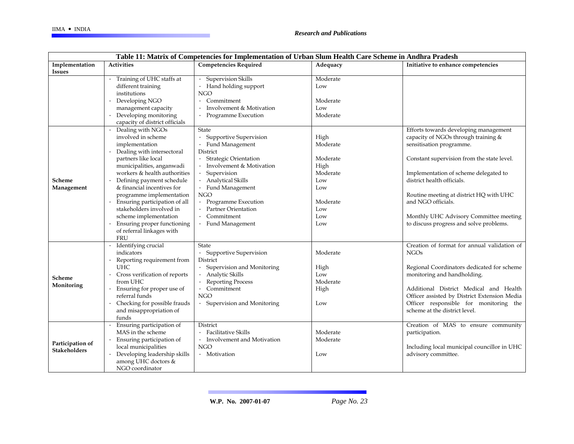| Table 11: Matrix of Competencies for Implementation of Urban Slum Health Care Scheme in Andhra Pradesh |                                |                              |          |                                              |  |  |  |  |
|--------------------------------------------------------------------------------------------------------|--------------------------------|------------------------------|----------|----------------------------------------------|--|--|--|--|
| Implementation                                                                                         | <b>Activities</b>              | <b>Competencies Required</b> | Adequacy | Initiative to enhance competencies           |  |  |  |  |
| <b>Issues</b>                                                                                          |                                |                              |          |                                              |  |  |  |  |
|                                                                                                        | · Training of UHC staffs at    | · Supervision Skills         | Moderate |                                              |  |  |  |  |
|                                                                                                        | different training             | · Hand holding support       | Low      |                                              |  |  |  |  |
|                                                                                                        | institutions                   | <b>NGO</b>                   |          |                                              |  |  |  |  |
|                                                                                                        | Developing NGO                 | · Commitment                 | Moderate |                                              |  |  |  |  |
|                                                                                                        | management capacity            | Involvement & Motivation     | Low      |                                              |  |  |  |  |
|                                                                                                        | Developing monitoring          | · Programme Execution        | Moderate |                                              |  |  |  |  |
|                                                                                                        | capacity of district officials |                              |          |                                              |  |  |  |  |
|                                                                                                        | Dealing with NGOs              | <b>State</b>                 |          | Efforts towards developing management        |  |  |  |  |
|                                                                                                        | involved in scheme             | Supportive Supervision       | High     | capacity of NGOs through training &          |  |  |  |  |
|                                                                                                        | implementation                 | · Fund Management            | Moderate | sensitisation programme.                     |  |  |  |  |
|                                                                                                        | Dealing with intersectoral     | District                     |          |                                              |  |  |  |  |
|                                                                                                        | partners like local            | <b>Strategic Orientation</b> | Moderate | Constant supervision from the state level.   |  |  |  |  |
| Scheme<br>Management                                                                                   | municipalities, anganwadi      | · Involvement & Motivation   | High     |                                              |  |  |  |  |
|                                                                                                        | workers & health authorities   | Supervision                  | Moderate | Implementation of scheme delegated to        |  |  |  |  |
|                                                                                                        | Defining payment schedule      | <b>Analytical Skills</b>     | Low      | district health officials.                   |  |  |  |  |
|                                                                                                        | & financial incentives for     | · Fund Management            | Low      |                                              |  |  |  |  |
|                                                                                                        | programme implementation       | NGO                          |          | Routine meeting at district HQ with UHC      |  |  |  |  |
|                                                                                                        | Ensuring participation of all  | · Programme Execution        | Moderate | and NGO officials.                           |  |  |  |  |
|                                                                                                        | stakeholders involved in       | · Partner Orientation        | Low      |                                              |  |  |  |  |
|                                                                                                        | scheme implementation          | · Commitment                 | Low      | Monthly UHC Advisory Committee meeting       |  |  |  |  |
|                                                                                                        | Ensuring proper functioning    | · Fund Management            | Low      | to discuss progress and solve problems.      |  |  |  |  |
|                                                                                                        | of referral linkages with      |                              |          |                                              |  |  |  |  |
|                                                                                                        | <b>FRU</b>                     |                              |          |                                              |  |  |  |  |
|                                                                                                        | Identifying crucial            | <b>State</b>                 |          | Creation of format for annual validation of  |  |  |  |  |
|                                                                                                        | indicators                     | · Supportive Supervision     | Moderate | <b>NGOs</b>                                  |  |  |  |  |
|                                                                                                        | Reporting requirement from     | District                     |          |                                              |  |  |  |  |
| Scheme<br>Monitoring                                                                                   | <b>UHC</b>                     | · Supervision and Monitoring | High     | Regional Coordinators dedicated for scheme   |  |  |  |  |
|                                                                                                        | Cross verification of reports  | Analytic Skills              | Low      | monitoring and handholding.                  |  |  |  |  |
|                                                                                                        | from UHC                       | · Reporting Process          | Moderate |                                              |  |  |  |  |
|                                                                                                        | Ensuring for proper use of     | · Commitment                 | High     | Additional District Medical and Health       |  |  |  |  |
|                                                                                                        | referral funds                 | <b>NGO</b>                   |          | Officer assisted by District Extension Media |  |  |  |  |
|                                                                                                        | Checking for possible frauds   | · Supervision and Monitoring | Low      | Officer responsible for monitoring the       |  |  |  |  |
|                                                                                                        | and misappropriation of        |                              |          | scheme at the district level.                |  |  |  |  |
|                                                                                                        | funds                          |                              |          |                                              |  |  |  |  |
|                                                                                                        | Ensuring participation of      | District                     |          | Creation of MAS to ensure community          |  |  |  |  |
| Participation of<br><b>Stakeholders</b>                                                                | MAS in the scheme              | · Facilitative Skills        | Moderate | participation.                               |  |  |  |  |
|                                                                                                        | Ensuring participation of      | • Involvement and Motivation | Moderate |                                              |  |  |  |  |
|                                                                                                        | local municipalities           | NGO                          |          | Including local municipal councillor in UHC  |  |  |  |  |
|                                                                                                        | Developing leadership skills   | • Motivation                 | Low      | advisory committee.                          |  |  |  |  |
|                                                                                                        | among UHC doctors &            |                              |          |                                              |  |  |  |  |
|                                                                                                        | NGO coordinator                |                              |          |                                              |  |  |  |  |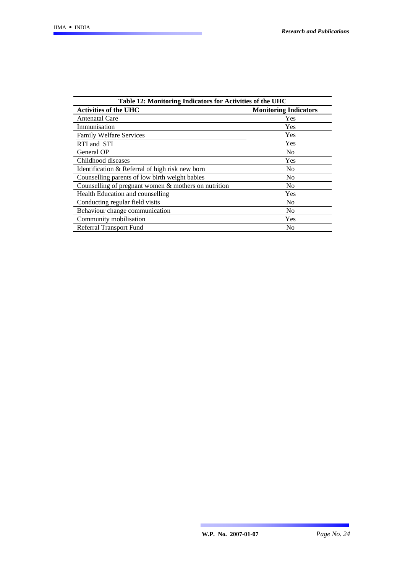| Table 12: Monitoring Indicators for Activities of the UHC |                              |  |  |  |  |  |
|-----------------------------------------------------------|------------------------------|--|--|--|--|--|
| <b>Activities of the UHC</b>                              | <b>Monitoring Indicators</b> |  |  |  |  |  |
| Antenatal Care                                            | Yes                          |  |  |  |  |  |
| Immunisation                                              | Yes                          |  |  |  |  |  |
| <b>Family Welfare Services</b>                            | Yes                          |  |  |  |  |  |
| RTI and STI                                               | Yes                          |  |  |  |  |  |
| General OP                                                | N <sub>0</sub>               |  |  |  |  |  |
| Childhood diseases                                        | Yes                          |  |  |  |  |  |
| Identification & Referral of high risk new born           | N <sub>0</sub>               |  |  |  |  |  |
| Counselling parents of low birth weight babies            | N <sub>0</sub>               |  |  |  |  |  |
| Counselling of pregnant women & mothers on nutrition      | N <sub>0</sub>               |  |  |  |  |  |
| Health Education and counselling                          | Yes                          |  |  |  |  |  |
| Conducting regular field visits                           | N <sub>0</sub>               |  |  |  |  |  |
| Behaviour change communication                            | N <sub>0</sub>               |  |  |  |  |  |
| Community mobilisation                                    | Yes                          |  |  |  |  |  |
| Referral Transport Fund                                   | N <sub>0</sub>               |  |  |  |  |  |